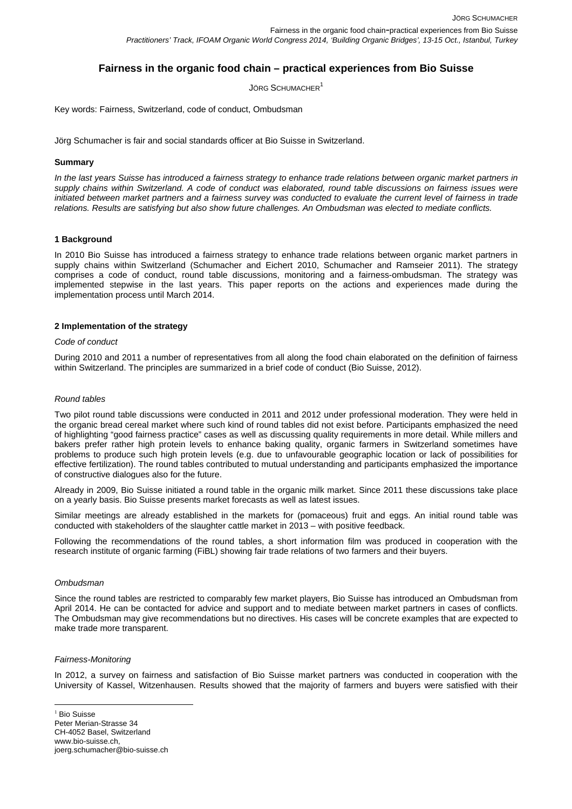# **Fairness in the organic food chain – practical experiences from Bio Suisse**

JÖRG SCHUMACHER<sup>1</sup>

Key words: Fairness, Switzerland, code of conduct, Ombudsman

Jörg Schumacher is fair and social standards officer at Bio Suisse in Switzerland.

#### **Summary**

*In the last years Suisse has introduced a fairness strategy to enhance trade relations between organic market partners in supply chains within Switzerland. A code of conduct was elaborated, round table discussions on fairness issues were initiated between market partners and a fairness survey was conducted to evaluate the current level of fairness in trade relations. Results are satisfying but also show future challenges. An Ombudsman was elected to mediate conflicts.* 

# **1 Background**

In 2010 Bio Suisse has introduced a fairness strategy to enhance trade relations between organic market partners in supply chains within Switzerland (Schumacher and Eichert 2010, Schumacher and Ramseier 2011). The strategy comprises a code of conduct, round table discussions, monitoring and a fairness-ombudsman. The strategy was implemented stepwise in the last years. This paper reports on the actions and experiences made during the implementation process until March 2014.

#### **2 Implementation of the strategy**

#### *Code of conduct*

During 2010 and 2011 a number of representatives from all along the food chain elaborated on the definition of fairness within Switzerland. The principles are summarized in a brief code of conduct (Bio Suisse, 2012).

#### *Round tables*

Two pilot round table discussions were conducted in 2011 and 2012 under professional moderation. They were held in the organic bread cereal market where such kind of round tables did not exist before. Participants emphasized the need of highlighting "good fairness practice" cases as well as discussing quality requirements in more detail. While millers and bakers prefer rather high protein levels to enhance baking quality, organic farmers in Switzerland sometimes have problems to produce such high protein levels (e.g. due to unfavourable geographic location or lack of possibilities for effective fertilization). The round tables contributed to mutual understanding and participants emphasized the importance of constructive dialogues also for the future.

Already in 2009, Bio Suisse initiated a round table in the organic milk market. Since 2011 these discussions take place on a yearly basis. Bio Suisse presents market forecasts as well as latest issues.

Similar meetings are already established in the markets for (pomaceous) fruit and eggs. An initial round table was conducted with stakeholders of the slaughter cattle market in 2013 – with positive feedback.

Following the recommendations of the round tables, a short information film was produced in cooperation with the research institute of organic farming (FiBL) showing fair trade relations of two farmers and their buyers.

# *Ombudsman*

Since the round tables are restricted to comparably few market players, Bio Suisse has introduced an Ombudsman from April 2014. He can be contacted for advice and support and to mediate between market partners in cases of conflicts. The Ombudsman may give recommendations but no directives. His cases will be concrete examples that are expected to make trade more transparent.

#### *Fairness-Monitoring*

 $\overline{a}$ 

In 2012, a survey on fairness and satisfaction of Bio Suisse market partners was conducted in cooperation with the University of Kassel, Witzenhausen. Results showed that the majority of farmers and buyers were satisfied with their